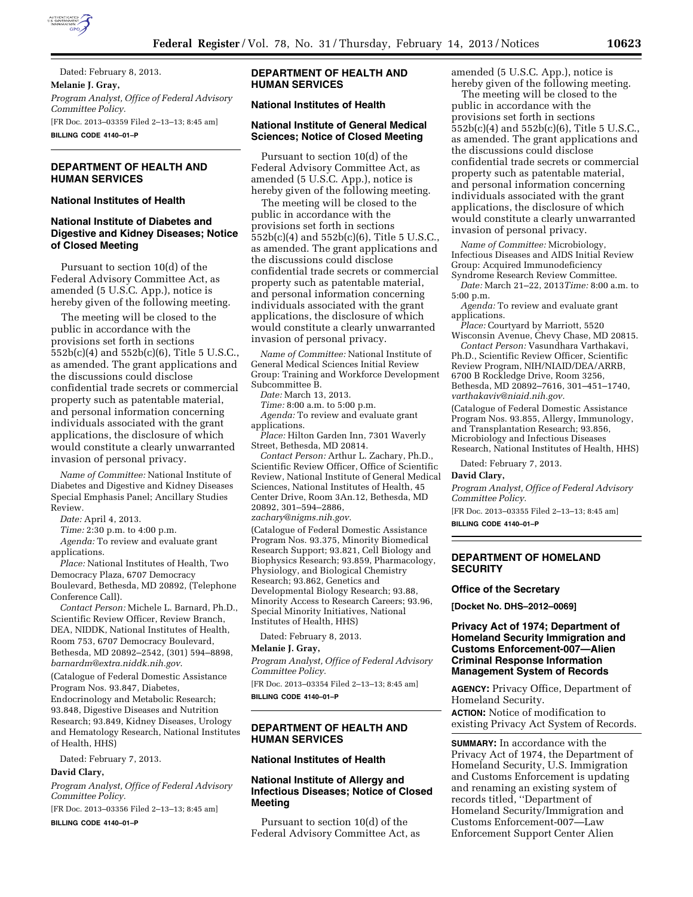

Dated: February 8, 2013. **Melanie J. Gray,**  *Program Analyst, Office of Federal Advisory Committee Policy.*  [FR Doc. 2013–03359 Filed 2–13–13; 8:45 am] **BILLING CODE 4140–01–P** 

# **DEPARTMENT OF HEALTH AND HUMAN SERVICES**

## **National Institutes of Health**

## **National Institute of Diabetes and Digestive and Kidney Diseases; Notice of Closed Meeting**

Pursuant to section 10(d) of the Federal Advisory Committee Act, as amended (5 U.S.C. App.), notice is hereby given of the following meeting.

The meeting will be closed to the public in accordance with the provisions set forth in sections 552b(c)(4) and 552b(c)(6), Title 5 U.S.C., as amended. The grant applications and the discussions could disclose confidential trade secrets or commercial property such as patentable material, and personal information concerning individuals associated with the grant applications, the disclosure of which would constitute a clearly unwarranted invasion of personal privacy.

*Name of Committee:* National Institute of Diabetes and Digestive and Kidney Diseases Special Emphasis Panel; Ancillary Studies Review.

*Date:* April 4, 2013.

*Time:* 2:30 p.m. to 4:00 p.m.

*Agenda:* To review and evaluate grant applications.

*Place:* National Institutes of Health, Two Democracy Plaza, 6707 Democracy Boulevard, Bethesda, MD 20892, (Telephone Conference Call).

*Contact Person:* Michele L. Barnard, Ph.D., Scientific Review Officer, Review Branch, DEA, NIDDK, National Institutes of Health, Room 753, 6707 Democracy Boulevard, Bethesda, MD 20892–2542, (301) 594–8898, *[barnardm@extra.niddk.nih.gov](mailto:barnardm@extra.niddk.nih.gov)*.

(Catalogue of Federal Domestic Assistance Program Nos. 93.847, Diabetes, Endocrinology and Metabolic Research; 93.848, Digestive Diseases and Nutrition Research; 93.849, Kidney Diseases, Urology and Hematology Research, National Institutes of Health, HHS)

Dated: February 7, 2013.

# **David Clary,**

*Program Analyst, Office of Federal Advisory Committee Policy.* 

[FR Doc. 2013–03356 Filed 2–13–13; 8:45 am]

**BILLING CODE 4140–01–P** 

## **DEPARTMENT OF HEALTH AND HUMAN SERVICES**

## **National Institutes of Health**

## **National Institute of General Medical Sciences; Notice of Closed Meeting**

Pursuant to section 10(d) of the Federal Advisory Committee Act, as amended (5 U.S.C. App.), notice is hereby given of the following meeting.

The meeting will be closed to the public in accordance with the provisions set forth in sections 552b(c)(4) and 552b(c)(6), Title 5 U.S.C., as amended. The grant applications and the discussions could disclose confidential trade secrets or commercial property such as patentable material, and personal information concerning individuals associated with the grant applications, the disclosure of which would constitute a clearly unwarranted invasion of personal privacy.

*Name of Committee:* National Institute of General Medical Sciences Initial Review Group: Training and Workforce Development Subcommittee B.

*Date:* March 13, 2013.

*Time:* 8:00 a.m. to 5:00 p.m.

*Agenda:* To review and evaluate grant applications.

*Place:* Hilton Garden Inn, 7301 Waverly Street, Bethesda, MD 20814.

*Contact Person:* Arthur L. Zachary, Ph.D., Scientific Review Officer, Office of Scientific Review, National Institute of General Medical Sciences, National Institutes of Health, 45 Center Drive, Room 3An.12, Bethesda, MD 20892, 301–594–2886, *[zachary@nigms.nih.gov.](mailto:zachary@nigms.nih.gov)* 

(Catalogue of Federal Domestic Assistance Program Nos. 93.375, Minority Biomedical Research Support; 93.821, Cell Biology and Biophysics Research; 93.859, Pharmacology, Physiology, and Biological Chemistry Research; 93.862, Genetics and Developmental Biology Research; 93.88, Minority Access to Research Careers; 93.96, Special Minority Initiatives, National Institutes of Health, HHS)

Dated: February 8, 2013.

### **Melanie J. Gray,**

*Program Analyst, Office of Federal Advisory Committee Policy.* 

[FR Doc. 2013–03354 Filed 2–13–13; 8:45 am] **BILLING CODE 4140–01–P** 

# **DEPARTMENT OF HEALTH AND HUMAN SERVICES**

# **National Institutes of Health**

# **National Institute of Allergy and Infectious Diseases; Notice of Closed Meeting**

Pursuant to section 10(d) of the Federal Advisory Committee Act, as amended (5 U.S.C. App.), notice is hereby given of the following meeting.

The meeting will be closed to the public in accordance with the provisions set forth in sections 552b(c)(4) and 552b(c)(6), Title 5 U.S.C., as amended. The grant applications and the discussions could disclose confidential trade secrets or commercial property such as patentable material, and personal information concerning individuals associated with the grant applications, the disclosure of which would constitute a clearly unwarranted invasion of personal privacy.

*Name of Committee:* Microbiology, Infectious Diseases and AIDS Initial Review Group: Acquired Immunodeficiency Syndrome Research Review Committee.

*Date:* March 21–22, 2013*Time:* 8:00 a.m. to 5:00 p.m.

*Agenda:* To review and evaluate grant applications.

*Place:* Courtyard by Marriott, 5520 Wisconsin Avenue, Chevy Chase, MD 20815.

*Contact Person:* Vasundhara Varthakavi, Ph.D., Scientific Review Officer, Scientific Review Program, NIH/NIAID/DEA/ARRB, 6700 B Rockledge Drive, Room 3256, Bethesda, MD 20892–7616, 301–451–1740, *[varthakaviv@niaid.nih.gov.](mailto:varthakaviv@niaid.nih.gov)* 

(Catalogue of Federal Domestic Assistance Program Nos. 93.855, Allergy, Immunology, and Transplantation Research; 93.856, Microbiology and Infectious Diseases Research, National Institutes of Health, HHS)

Dated: February 7, 2013.

#### **David Clary,**

*Program Analyst, Office of Federal Advisory Committee Policy.* 

[FR Doc. 2013–03355 Filed 2–13–13; 8:45 am]

**BILLING CODE 4140–01–P** 

### **DEPARTMENT OF HOMELAND SECURITY**

#### **Office of the Secretary**

**[Docket No. DHS–2012–0069]** 

## **Privacy Act of 1974; Department of Homeland Security Immigration and Customs Enforcement-007—Alien Criminal Response Information Management System of Records**

**AGENCY:** Privacy Office, Department of Homeland Security.

**ACTION:** Notice of modification to existing Privacy Act System of Records.

**SUMMARY:** In accordance with the Privacy Act of 1974, the Department of Homeland Security, U.S. Immigration and Customs Enforcement is updating and renaming an existing system of records titled, ''Department of Homeland Security/Immigration and Customs Enforcement-007—Law Enforcement Support Center Alien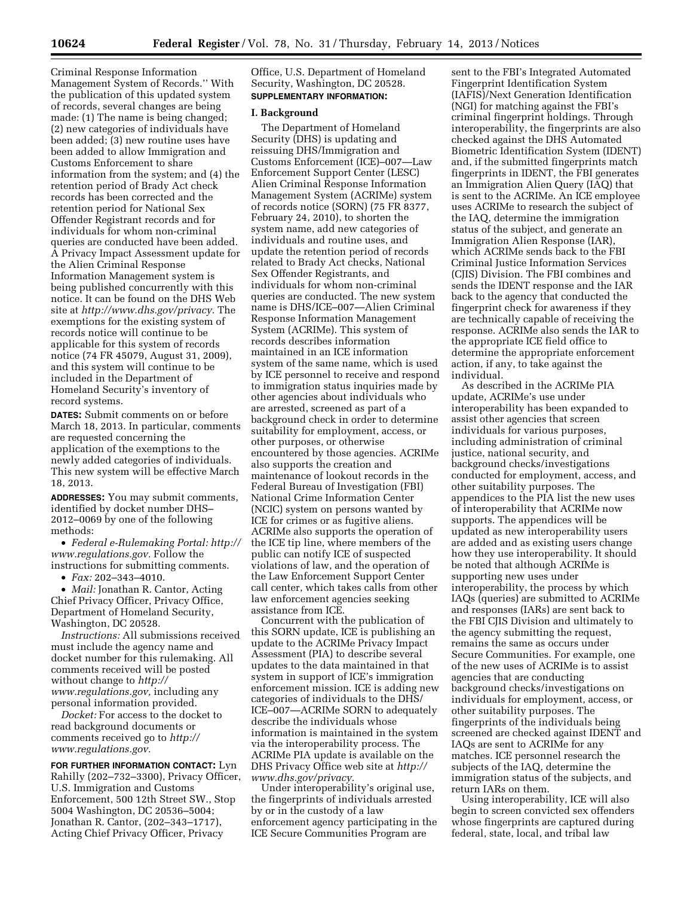Criminal Response Information Management System of Records.'' With the publication of this updated system of records, several changes are being made: (1) The name is being changed; (2) new categories of individuals have been added; (3) new routine uses have been added to allow Immigration and Customs Enforcement to share information from the system; and (4) the retention period of Brady Act check records has been corrected and the retention period for National Sex Offender Registrant records and for individuals for whom non-criminal queries are conducted have been added. A Privacy Impact Assessment update for the Alien Criminal Response Information Management system is being published concurrently with this notice. It can be found on the DHS Web site at *[http://www.dhs.gov/privacy.](http://www.dhs.gov/privacy)* The exemptions for the existing system of records notice will continue to be applicable for this system of records notice (74 FR 45079, August 31, 2009), and this system will continue to be included in the Department of Homeland Security's inventory of record systems.

**DATES:** Submit comments on or before March 18, 2013. In particular, comments are requested concerning the application of the exemptions to the newly added categories of individuals. This new system will be effective March 18, 2013.

**ADDRESSES:** You may submit comments, identified by docket number DHS– 2012–0069 by one of the following methods:

• *Federal e-Rulemaking Portal: [http://](http://www.regulations.gov)  [www.regulations.gov.](http://www.regulations.gov)* Follow the instructions for submitting comments.

• *Fax:* 202–343–4010.

• *Mail:* Jonathan R. Cantor, Acting Chief Privacy Officer, Privacy Office, Department of Homeland Security, Washington, DC 20528.

*Instructions:* All submissions received must include the agency name and docket number for this rulemaking. All comments received will be posted without change to *[http://](http://www.regulations.gov) [www.regulations.gov,](http://www.regulations.gov)* including any personal information provided.

*Docket:* For access to the docket to read background documents or comments received go to *[http://](http://www.regulations.gov) [www.regulations.gov.](http://www.regulations.gov)* 

**FOR FURTHER INFORMATION CONTACT:** Lyn Rahilly (202–732–3300), Privacy Officer, U.S. Immigration and Customs Enforcement, 500 12th Street SW., Stop 5004 Washington, DC 20536–5004; Jonathan R. Cantor, (202–343–1717), Acting Chief Privacy Officer, Privacy

Office, U.S. Department of Homeland Security, Washington, DC 20528. **SUPPLEMENTARY INFORMATION:** 

### **I. Background**

The Department of Homeland Security (DHS) is updating and reissuing DHS/Immigration and Customs Enforcement (ICE)–007—Law Enforcement Support Center (LESC) Alien Criminal Response Information Management System (ACRIMe) system of records notice (SORN) (75 FR 8377, February 24, 2010), to shorten the system name, add new categories of individuals and routine uses, and update the retention period of records related to Brady Act checks, National Sex Offender Registrants, and individuals for whom non-criminal queries are conducted. The new system name is DHS/ICE–007—Alien Criminal Response Information Management System (ACRIMe). This system of records describes information maintained in an ICE information system of the same name, which is used by ICE personnel to receive and respond to immigration status inquiries made by other agencies about individuals who are arrested, screened as part of a background check in order to determine suitability for employment, access, or other purposes, or otherwise encountered by those agencies. ACRIMe also supports the creation and maintenance of lookout records in the Federal Bureau of Investigation (FBI) National Crime Information Center (NCIC) system on persons wanted by ICE for crimes or as fugitive aliens. ACRIMe also supports the operation of the ICE tip line, where members of the public can notify ICE of suspected violations of law, and the operation of the Law Enforcement Support Center call center, which takes calls from other law enforcement agencies seeking assistance from ICE.

Concurrent with the publication of this SORN update, ICE is publishing an update to the ACRIMe Privacy Impact Assessment (PIA) to describe several updates to the data maintained in that system in support of ICE's immigration enforcement mission. ICE is adding new categories of individuals to the DHS/ ICE–007—ACRIMe SORN to adequately describe the individuals whose information is maintained in the system via the interoperability process. The ACRIMe PIA update is available on the DHS Privacy Office web site at *[http://](http://www.dhs.gov/privacy) [www.dhs.gov/privacy.](http://www.dhs.gov/privacy)* 

Under interoperability's original use, the fingerprints of individuals arrested by or in the custody of a law enforcement agency participating in the ICE Secure Communities Program are

sent to the FBI's Integrated Automated Fingerprint Identification System (IAFIS)/Next Generation Identification (NGI) for matching against the FBI's criminal fingerprint holdings. Through interoperability, the fingerprints are also checked against the DHS Automated Biometric Identification System (IDENT) and, if the submitted fingerprints match fingerprints in IDENT, the FBI generates an Immigration Alien Query (IAQ) that is sent to the ACRIMe. An ICE employee uses ACRIMe to research the subject of the IAQ, determine the immigration status of the subject, and generate an Immigration Alien Response (IAR), which ACRIMe sends back to the FBI Criminal Justice Information Services (CJIS) Division. The FBI combines and sends the IDENT response and the IAR back to the agency that conducted the fingerprint check for awareness if they are technically capable of receiving the response. ACRIMe also sends the IAR to the appropriate ICE field office to determine the appropriate enforcement action, if any, to take against the individual.

As described in the ACRIMe PIA update, ACRIMe's use under interoperability has been expanded to assist other agencies that screen individuals for various purposes, including administration of criminal justice, national security, and background checks/investigations conducted for employment, access, and other suitability purposes. The appendices to the PIA list the new uses of interoperability that ACRIMe now supports. The appendices will be updated as new interoperability users are added and as existing users change how they use interoperability. It should be noted that although ACRIMe is supporting new uses under interoperability, the process by which IAQs (queries) are submitted to ACRIMe and responses (IARs) are sent back to the FBI CJIS Division and ultimately to the agency submitting the request, remains the same as occurs under Secure Communities. For example, one of the new uses of ACRIMe is to assist agencies that are conducting background checks/investigations on individuals for employment, access, or other suitability purposes. The fingerprints of the individuals being screened are checked against IDENT and IAQs are sent to ACRIMe for any matches. ICE personnel research the subjects of the IAQ, determine the immigration status of the subjects, and return IARs on them.

Using interoperability, ICE will also begin to screen convicted sex offenders whose fingerprints are captured during federal, state, local, and tribal law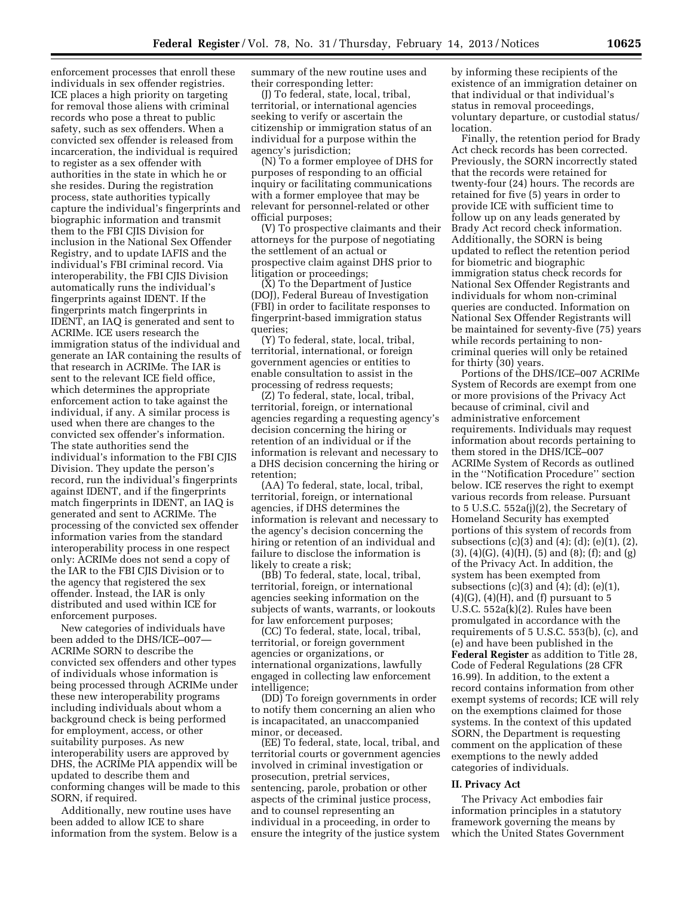enforcement processes that enroll these individuals in sex offender registries. ICE places a high priority on targeting for removal those aliens with criminal records who pose a threat to public safety, such as sex offenders. When a convicted sex offender is released from incarceration, the individual is required to register as a sex offender with authorities in the state in which he or she resides. During the registration process, state authorities typically capture the individual's fingerprints and biographic information and transmit them to the FBI CJIS Division for inclusion in the National Sex Offender Registry, and to update IAFIS and the individual's FBI criminal record. Via interoperability, the FBI CJIS Division automatically runs the individual's fingerprints against IDENT. If the fingerprints match fingerprints in IDENT, an IAQ is generated and sent to ACRIMe. ICE users research the immigration status of the individual and generate an IAR containing the results of that research in ACRIMe. The IAR is sent to the relevant ICE field office, which determines the appropriate enforcement action to take against the individual, if any. A similar process is used when there are changes to the convicted sex offender's information. The state authorities send the individual's information to the FBI CJIS Division. They update the person's record, run the individual's fingerprints against IDENT, and if the fingerprints match fingerprints in IDENT, an IAQ is generated and sent to ACRIMe. The processing of the convicted sex offender information varies from the standard interoperability process in one respect only: ACRIMe does not send a copy of the IAR to the FBI CJIS Division or to the agency that registered the sex offender. Instead, the IAR is only distributed and used within ICE for enforcement purposes.

New categories of individuals have been added to the DHS/ICE–007— ACRIMe SORN to describe the convicted sex offenders and other types of individuals whose information is being processed through ACRIMe under these new interoperability programs including individuals about whom a background check is being performed for employment, access, or other suitability purposes. As new interoperability users are approved by DHS, the ACRIMe PIA appendix will be updated to describe them and conforming changes will be made to this SORN, if required.

Additionally, new routine uses have been added to allow ICE to share information from the system. Below is a summary of the new routine uses and their corresponding letter:

(J) To federal, state, local, tribal, territorial, or international agencies seeking to verify or ascertain the citizenship or immigration status of an individual for a purpose within the agency's jurisdiction;

(N) To a former employee of DHS for purposes of responding to an official inquiry or facilitating communications with a former employee that may be relevant for personnel-related or other official purposes;

(V) To prospective claimants and their attorneys for the purpose of negotiating the settlement of an actual or prospective claim against DHS prior to litigation or proceedings;

(X) To the Department of Justice (DOJ), Federal Bureau of Investigation (FBI) in order to facilitate responses to fingerprint-based immigration status queries;

(Y) To federal, state, local, tribal, territorial, international, or foreign government agencies or entities to enable consultation to assist in the processing of redress requests;

(Z) To federal, state, local, tribal, territorial, foreign, or international agencies regarding a requesting agency's decision concerning the hiring or retention of an individual or if the information is relevant and necessary to a DHS decision concerning the hiring or retention;

(AA) To federal, state, local, tribal, territorial, foreign, or international agencies, if DHS determines the information is relevant and necessary to the agency's decision concerning the hiring or retention of an individual and failure to disclose the information is likely to create a risk;

(BB) To federal, state, local, tribal, territorial, foreign, or international agencies seeking information on the subjects of wants, warrants, or lookouts for law enforcement purposes;

(CC) To federal, state, local, tribal, territorial, or foreign government agencies or organizations, or international organizations, lawfully engaged in collecting law enforcement intelligence;

(DD) To foreign governments in order to notify them concerning an alien who is incapacitated, an unaccompanied minor, or deceased.

(EE) To federal, state, local, tribal, and territorial courts or government agencies involved in criminal investigation or prosecution, pretrial services, sentencing, parole, probation or other aspects of the criminal justice process, and to counsel representing an individual in a proceeding, in order to ensure the integrity of the justice system

by informing these recipients of the existence of an immigration detainer on that individual or that individual's status in removal proceedings, voluntary departure, or custodial status/ location.

Finally, the retention period for Brady Act check records has been corrected. Previously, the SORN incorrectly stated that the records were retained for twenty-four (24) hours. The records are retained for five (5) years in order to provide ICE with sufficient time to follow up on any leads generated by Brady Act record check information. Additionally, the SORN is being updated to reflect the retention period for biometric and biographic immigration status check records for National Sex Offender Registrants and individuals for whom non-criminal queries are conducted. Information on National Sex Offender Registrants will be maintained for seventy-five (75) years while records pertaining to noncriminal queries will only be retained for thirty (30) years.

Portions of the DHS/ICE–007 ACRIMe System of Records are exempt from one or more provisions of the Privacy Act because of criminal, civil and administrative enforcement requirements. Individuals may request information about records pertaining to them stored in the DHS/ICE–007 ACRIMe System of Records as outlined in the ''Notification Procedure'' section below. ICE reserves the right to exempt various records from release. Pursuant to 5 U.S.C. 552a(j)(2), the Secretary of Homeland Security has exempted portions of this system of records from subsections (c)(3) and (4); (d); (e)(1), (2),  $(3)$ ,  $(4)(G)$ ,  $(4)(H)$ ,  $(5)$  and  $(8)$ ;  $(f)$ ; and  $(g)$ of the Privacy Act. In addition, the system has been exempted from subsections  $(c)(3)$  and  $(4)$ ;  $(d)$ ;  $(e)(1)$ ,  $(4)(G)$ ,  $(4)(H)$ , and  $(f)$  pursuant to 5 U.S.C. 552a(k)(2). Rules have been promulgated in accordance with the requirements of 5 U.S.C. 553(b), (c), and (e) and have been published in the **Federal Register** as addition to Title 28, Code of Federal Regulations (28 CFR 16.99). In addition, to the extent a record contains information from other exempt systems of records; ICE will rely on the exemptions claimed for those systems. In the context of this updated SORN, the Department is requesting comment on the application of these exemptions to the newly added categories of individuals.

#### **II. Privacy Act**

The Privacy Act embodies fair information principles in a statutory framework governing the means by which the United States Government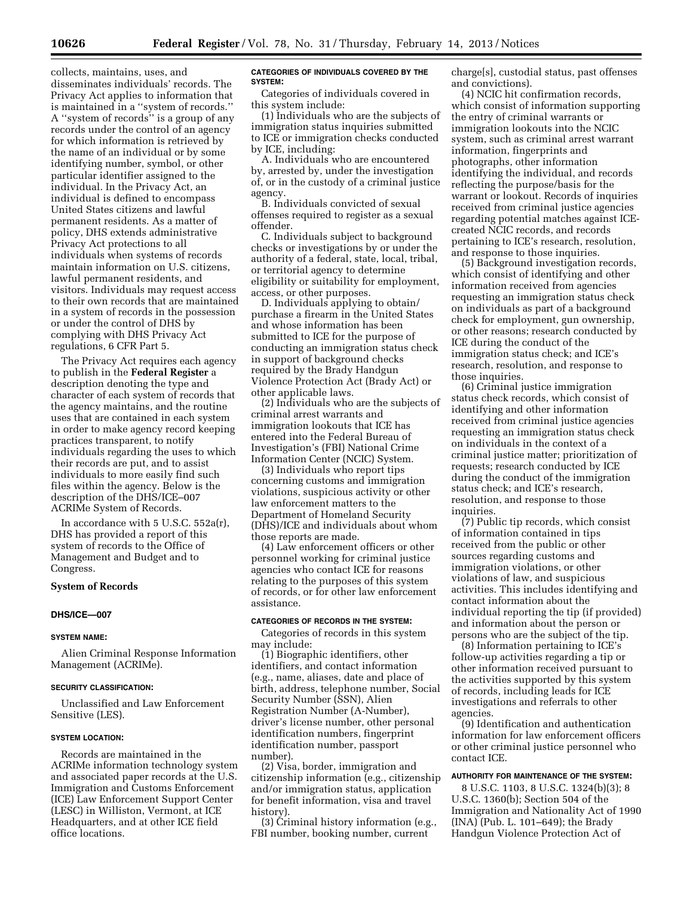collects, maintains, uses, and disseminates individuals' records. The Privacy Act applies to information that is maintained in a ''system of records.'' A ''system of records'' is a group of any records under the control of an agency for which information is retrieved by the name of an individual or by some identifying number, symbol, or other particular identifier assigned to the individual. In the Privacy Act, an individual is defined to encompass United States citizens and lawful permanent residents. As a matter of policy, DHS extends administrative Privacy Act protections to all individuals when systems of records maintain information on U.S. citizens, lawful permanent residents, and visitors. Individuals may request access to their own records that are maintained in a system of records in the possession or under the control of DHS by complying with DHS Privacy Act regulations, 6 CFR Part 5.

The Privacy Act requires each agency to publish in the **Federal Register** a description denoting the type and character of each system of records that the agency maintains, and the routine uses that are contained in each system in order to make agency record keeping practices transparent, to notify individuals regarding the uses to which their records are put, and to assist individuals to more easily find such files within the agency. Below is the description of the DHS/ICE–007 ACRIMe System of Records.

In accordance with 5 U.S.C. 552a(r), DHS has provided a report of this system of records to the Office of Management and Budget and to Congress.

## **System of Records**

#### **DHS/ICE—007**

### **SYSTEM NAME:**

Alien Criminal Response Information Management (ACRIMe).

#### **SECURITY CLASSIFICATION:**

Unclassified and Law Enforcement Sensitive (LES).

#### **SYSTEM LOCATION:**

Records are maintained in the ACRIMe information technology system and associated paper records at the U.S. Immigration and Customs Enforcement (ICE) Law Enforcement Support Center (LESC) in Williston, Vermont, at ICE Headquarters, and at other ICE field office locations.

### **CATEGORIES OF INDIVIDUALS COVERED BY THE SYSTEM:**

Categories of individuals covered in this system include:

(1) Individuals who are the subjects of immigration status inquiries submitted to ICE or immigration checks conducted by ICE, including:

A. Individuals who are encountered by, arrested by, under the investigation of, or in the custody of a criminal justice agency.

B. Individuals convicted of sexual offenses required to register as a sexual offender.

C. Individuals subject to background checks or investigations by or under the authority of a federal, state, local, tribal, or territorial agency to determine eligibility or suitability for employment, access, or other purposes.

D. Individuals applying to obtain/ purchase a firearm in the United States and whose information has been submitted to ICE for the purpose of conducting an immigration status check in support of background checks required by the Brady Handgun Violence Protection Act (Brady Act) or other applicable laws.

(2) Individuals who are the subjects of criminal arrest warrants and immigration lookouts that ICE has entered into the Federal Bureau of Investigation's (FBI) National Crime Information Center (NCIC) System.

(3) Individuals who report tips concerning customs and immigration violations, suspicious activity or other law enforcement matters to the Department of Homeland Security (DHS)/ICE and individuals about whom those reports are made.

(4) Law enforcement officers or other personnel working for criminal justice agencies who contact ICE for reasons relating to the purposes of this system of records, or for other law enforcement assistance.

### **CATEGORIES OF RECORDS IN THE SYSTEM:**

Categories of records in this system may include:

(1) Biographic identifiers, other identifiers, and contact information (e.g., name, aliases, date and place of birth, address, telephone number, Social Security Number (SSN), Alien Registration Number (A-Number), driver's license number, other personal identification numbers, fingerprint identification number, passport number).

(2) Visa, border, immigration and citizenship information (e.g., citizenship and/or immigration status, application for benefit information, visa and travel history).

(3) Criminal history information (e.g., FBI number, booking number, current

charge[s], custodial status, past offenses and convictions).

(4) NCIC hit confirmation records, which consist of information supporting the entry of criminal warrants or immigration lookouts into the NCIC system, such as criminal arrest warrant information, fingerprints and photographs, other information identifying the individual, and records reflecting the purpose/basis for the warrant or lookout. Records of inquiries received from criminal justice agencies regarding potential matches against ICEcreated NCIC records, and records pertaining to ICE's research, resolution, and response to those inquiries.

(5) Background investigation records, which consist of identifying and other information received from agencies requesting an immigration status check on individuals as part of a background check for employment, gun ownership, or other reasons; research conducted by ICE during the conduct of the immigration status check; and ICE's research, resolution, and response to those inquiries.

(6) Criminal justice immigration status check records, which consist of identifying and other information received from criminal justice agencies requesting an immigration status check on individuals in the context of a criminal justice matter; prioritization of requests; research conducted by ICE during the conduct of the immigration status check; and ICE's research, resolution, and response to those inquiries.

(7) Public tip records, which consist of information contained in tips received from the public or other sources regarding customs and immigration violations, or other violations of law, and suspicious activities. This includes identifying and contact information about the individual reporting the tip (if provided) and information about the person or persons who are the subject of the tip.

(8) Information pertaining to ICE's follow-up activities regarding a tip or other information received pursuant to the activities supported by this system of records, including leads for ICE investigations and referrals to other agencies.

(9) Identification and authentication information for law enforcement officers or other criminal justice personnel who contact ICE.

### **AUTHORITY FOR MAINTENANCE OF THE SYSTEM:**

8 U.S.C. 1103, 8 U.S.C. 1324(b)(3); 8 U.S.C. 1360(b); Section 504 of the Immigration and Nationality Act of 1990 (INA) (Pub. L. 101–649); the Brady Handgun Violence Protection Act of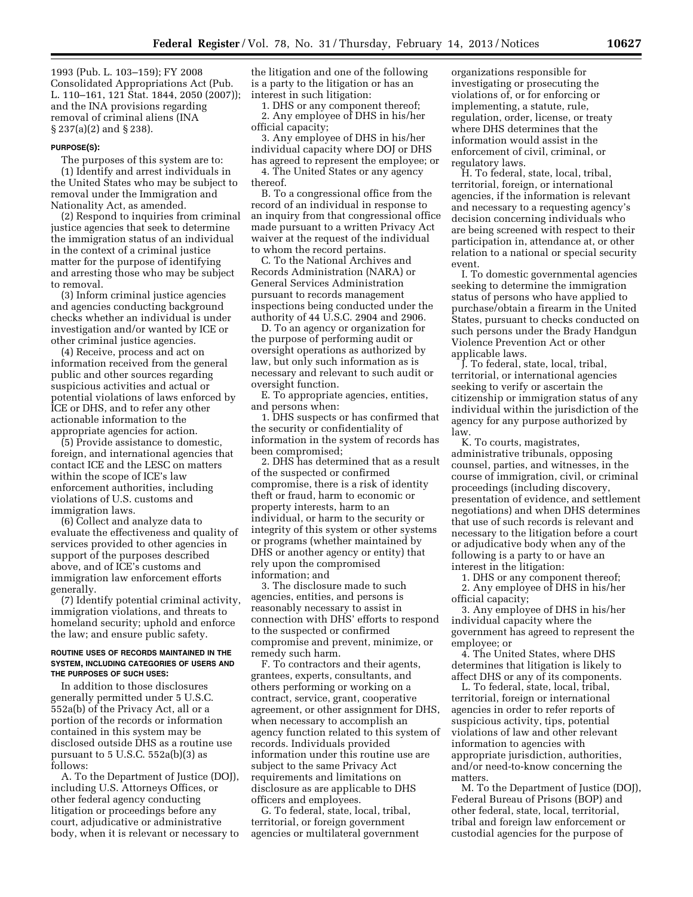1993 (Pub. L. 103–159); FY 2008 Consolidated Appropriations Act (Pub. L. 110–161, 121 Stat. 1844, 2050 (2007)); and the INA provisions regarding removal of criminal aliens (INA § 237(a)(2) and § 238).

### **PURPOSE(S):**

The purposes of this system are to: (1) Identify and arrest individuals in the United States who may be subject to removal under the Immigration and Nationality Act, as amended.

(2) Respond to inquiries from criminal justice agencies that seek to determine the immigration status of an individual in the context of a criminal justice matter for the purpose of identifying and arresting those who may be subject to removal.

(3) Inform criminal justice agencies and agencies conducting background checks whether an individual is under investigation and/or wanted by ICE or other criminal justice agencies.

(4) Receive, process and act on information received from the general public and other sources regarding suspicious activities and actual or potential violations of laws enforced by ICE or DHS, and to refer any other actionable information to the appropriate agencies for action.

(5) Provide assistance to domestic, foreign, and international agencies that contact ICE and the LESC on matters within the scope of ICE's law enforcement authorities, including violations of U.S. customs and immigration laws.

(6) Collect and analyze data to evaluate the effectiveness and quality of services provided to other agencies in support of the purposes described above, and of ICE's customs and immigration law enforcement efforts generally.

(7) Identify potential criminal activity, immigration violations, and threats to homeland security; uphold and enforce the law; and ensure public safety.

### **ROUTINE USES OF RECORDS MAINTAINED IN THE SYSTEM, INCLUDING CATEGORIES OF USERS AND THE PURPOSES OF SUCH USES:**

In addition to those disclosures generally permitted under 5 U.S.C. 552a(b) of the Privacy Act, all or a portion of the records or information contained in this system may be disclosed outside DHS as a routine use pursuant to  $5$  U.S.C.  $552a(b)(3)$  as follows:

A. To the Department of Justice (DOJ), including U.S. Attorneys Offices, or other federal agency conducting litigation or proceedings before any court, adjudicative or administrative body, when it is relevant or necessary to

the litigation and one of the following is a party to the litigation or has an interest in such litigation:

1. DHS or any component thereof; 2. Any employee of DHS in his/her official capacity;

3. Any employee of DHS in his/her individual capacity where DOJ or DHS has agreed to represent the employee; or 4. The United States or any agency

thereof.

B. To a congressional office from the record of an individual in response to an inquiry from that congressional office made pursuant to a written Privacy Act waiver at the request of the individual to whom the record pertains.

C. To the National Archives and Records Administration (NARA) or General Services Administration pursuant to records management inspections being conducted under the authority of 44 U.S.C. 2904 and 2906.

D. To an agency or organization for the purpose of performing audit or oversight operations as authorized by law, but only such information as is necessary and relevant to such audit or oversight function.

E. To appropriate agencies, entities, and persons when:

1. DHS suspects or has confirmed that the security or confidentiality of information in the system of records has been compromised;

2. DHS has determined that as a result of the suspected or confirmed compromise, there is a risk of identity theft or fraud, harm to economic or property interests, harm to an individual, or harm to the security or integrity of this system or other systems or programs (whether maintained by DHS or another agency or entity) that rely upon the compromised information; and

3. The disclosure made to such agencies, entities, and persons is reasonably necessary to assist in connection with DHS' efforts to respond to the suspected or confirmed compromise and prevent, minimize, or remedy such harm.

F. To contractors and their agents, grantees, experts, consultants, and others performing or working on a contract, service, grant, cooperative agreement, or other assignment for DHS, when necessary to accomplish an agency function related to this system of records. Individuals provided information under this routine use are subject to the same Privacy Act requirements and limitations on disclosure as are applicable to DHS officers and employees.

G. To federal, state, local, tribal, territorial, or foreign government agencies or multilateral government

organizations responsible for investigating or prosecuting the violations of, or for enforcing or implementing, a statute, rule, regulation, order, license, or treaty where DHS determines that the information would assist in the enforcement of civil, criminal, or regulatory laws.

H. To federal, state, local, tribal, territorial, foreign, or international agencies, if the information is relevant and necessary to a requesting agency's decision concerning individuals who are being screened with respect to their participation in, attendance at, or other relation to a national or special security event.

I. To domestic governmental agencies seeking to determine the immigration status of persons who have applied to purchase/obtain a firearm in the United States, pursuant to checks conducted on such persons under the Brady Handgun Violence Prevention Act or other applicable laws.

J. To federal, state, local, tribal, territorial, or international agencies seeking to verify or ascertain the citizenship or immigration status of any individual within the jurisdiction of the agency for any purpose authorized by law.

K. To courts, magistrates, administrative tribunals, opposing counsel, parties, and witnesses, in the course of immigration, civil, or criminal proceedings (including discovery, presentation of evidence, and settlement negotiations) and when DHS determines that use of such records is relevant and necessary to the litigation before a court or adjudicative body when any of the following is a party to or have an interest in the litigation:

1. DHS or any component thereof;

2. Any employee of DHS in his/her official capacity;

3. Any employee of DHS in his/her individual capacity where the government has agreed to represent the employee; or

4. The United States, where DHS determines that litigation is likely to affect DHS or any of its components.

L. To federal, state, local, tribal, territorial, foreign or international agencies in order to refer reports of suspicious activity, tips, potential violations of law and other relevant information to agencies with appropriate jurisdiction, authorities, and/or need-to-know concerning the matters.

M. To the Department of Justice (DOJ), Federal Bureau of Prisons (BOP) and other federal, state, local, territorial, tribal and foreign law enforcement or custodial agencies for the purpose of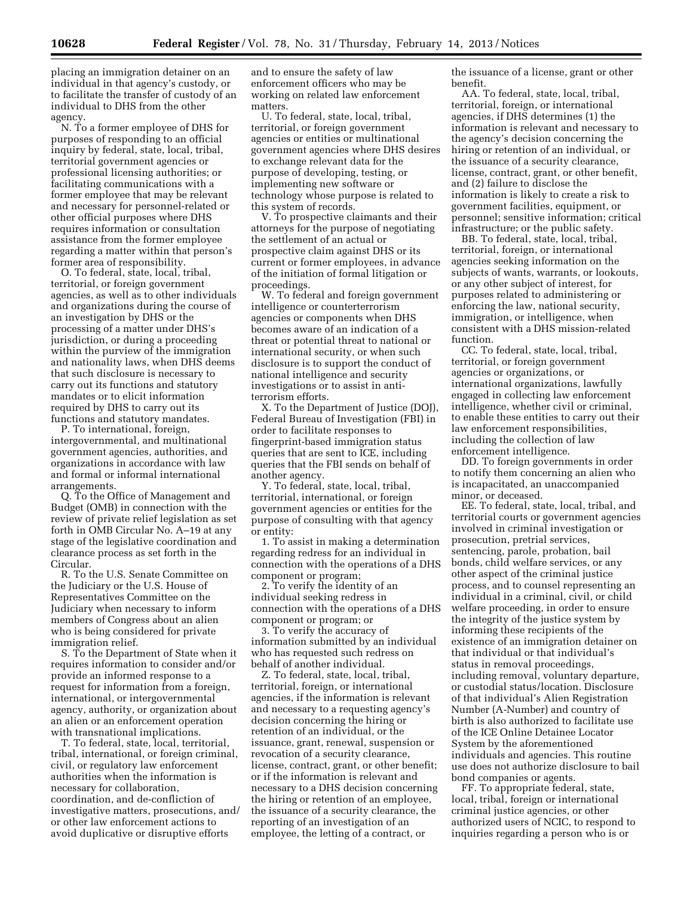placing an immigration detainer on an individual in that agency's custody, or to facilitate the transfer of custody of an individual to DHS from the other agency.

N. To a former employee of DHS for purposes of responding to an official inquiry by federal, state, local, tribal, territorial government agencies or professional licensing authorities; or facilitating communications with a former employee that may be relevant and necessary for personnel-related or other official purposes where DHS requires information or consultation assistance from the former employee regarding a matter within that person's former area of responsibility.

O. To federal, state, local, tribal, territorial, or foreign government agencies, as well as to other individuals and organizations during the course of an investigation by DHS or the processing of a matter under DHS's jurisdiction, or during a proceeding within the purview of the immigration and nationality laws, when DHS deems that such disclosure is necessary to carry out its functions and statutory mandates or to elicit information required by DHS to carry out its functions and statutory mandates.

P. To international, foreign, intergovernmental, and multinational government agencies, authorities, and organizations in accordance with law and formal or informal international arrangements.

Q. To the Office of Management and Budget (OMB) in connection with the review of private relief legislation as set forth in OMB Circular No. A–19 at any stage of the legislative coordination and clearance process as set forth in the Circular.

R. To the U.S. Senate Committee on the Judiciary or the U.S. House of Representatives Committee on the Judiciary when necessary to inform members of Congress about an alien who is being considered for private immigration relief.

S. To the Department of State when it requires information to consider and/or provide an informed response to a request for information from a foreign, international, or intergovernmental agency, authority, or organization about an alien or an enforcement operation with transnational implications.

T. To federal, state, local, territorial, tribal, international, or foreign criminal, civil, or regulatory law enforcement authorities when the information is necessary for collaboration, coordination, and de-confliction of investigative matters, prosecutions, and/ or other law enforcement actions to avoid duplicative or disruptive efforts

and to ensure the safety of law enforcement officers who may be working on related law enforcement matters.

U. To federal, state, local, tribal, territorial, or foreign government agencies or entities or multinational government agencies where DHS desires to exchange relevant data for the purpose of developing, testing, or implementing new software or technology whose purpose is related to this system of records.

V. To prospective claimants and their attorneys for the purpose of negotiating the settlement of an actual or prospective claim against DHS or its current or former employees, in advance of the initiation of formal litigation or proceedings.

W. To federal and foreign government intelligence or counterterrorism agencies or components when DHS becomes aware of an indication of a threat or potential threat to national or international security, or when such disclosure is to support the conduct of national intelligence and security investigations or to assist in antiterrorism efforts.

X. To the Department of Justice (DOJ), Federal Bureau of Investigation (FBI) in order to facilitate responses to fingerprint-based immigration status queries that are sent to ICE, including queries that the FBI sends on behalf of another agency.

Y. To federal, state, local, tribal, territorial, international, or foreign government agencies or entities for the purpose of consulting with that agency or entity:

1. To assist in making a determination regarding redress for an individual in connection with the operations of a DHS component or program;

2. To verify the identity of an individual seeking redress in connection with the operations of a DHS component or program; or

3. To verify the accuracy of information submitted by an individual who has requested such redress on behalf of another individual.

Z. To federal, state, local, tribal, territorial, foreign, or international agencies, if the information is relevant and necessary to a requesting agency's decision concerning the hiring or retention of an individual, or the issuance, grant, renewal, suspension or revocation of a security clearance, license, contract, grant, or other benefit; or if the information is relevant and necessary to a DHS decision concerning the hiring or retention of an employee, the issuance of a security clearance, the reporting of an investigation of an employee, the letting of a contract, or

the issuance of a license, grant or other benefit.

AA. To federal, state, local, tribal, territorial, foreign, or international agencies, if DHS determines (1) the information is relevant and necessary to the agency's decision concerning the hiring or retention of an individual, or the issuance of a security clearance, license, contract, grant, or other benefit, and (2) failure to disclose the information is likely to create a risk to government facilities, equipment, or personnel; sensitive information; critical infrastructure; or the public safety.

BB. To federal, state, local, tribal, territorial, foreign, or international agencies seeking information on the subjects of wants, warrants, or lookouts, or any other subject of interest, for purposes related to administering or enforcing the law, national security, immigration, or intelligence, when consistent with a DHS mission-related function.

CC. To federal, state, local, tribal, territorial, or foreign government agencies or organizations, or international organizations, lawfully engaged in collecting law enforcement intelligence, whether civil or criminal, to enable these entities to carry out their law enforcement responsibilities, including the collection of law enforcement intelligence.

DD. To foreign governments in order to notify them concerning an alien who is incapacitated, an unaccompanied minor, or deceased.

EE. To federal, state, local, tribal, and territorial courts or government agencies involved in criminal investigation or prosecution, pretrial services, sentencing, parole, probation, bail bonds, child welfare services, or any other aspect of the criminal justice process, and to counsel representing an individual in a criminal, civil, or child welfare proceeding, in order to ensure the integrity of the justice system by informing these recipients of the existence of an immigration detainer on that individual or that individual's status in removal proceedings, including removal, voluntary departure, or custodial status/location. Disclosure of that individual's Alien Registration Number (A-Number) and country of birth is also authorized to facilitate use of the ICE Online Detainee Locator System by the aforementioned individuals and agencies. This routine use does not authorize disclosure to bail bond companies or agents.

FF. To appropriate federal, state, local, tribal, foreign or international criminal justice agencies, or other authorized users of NCIC, to respond to inquiries regarding a person who is or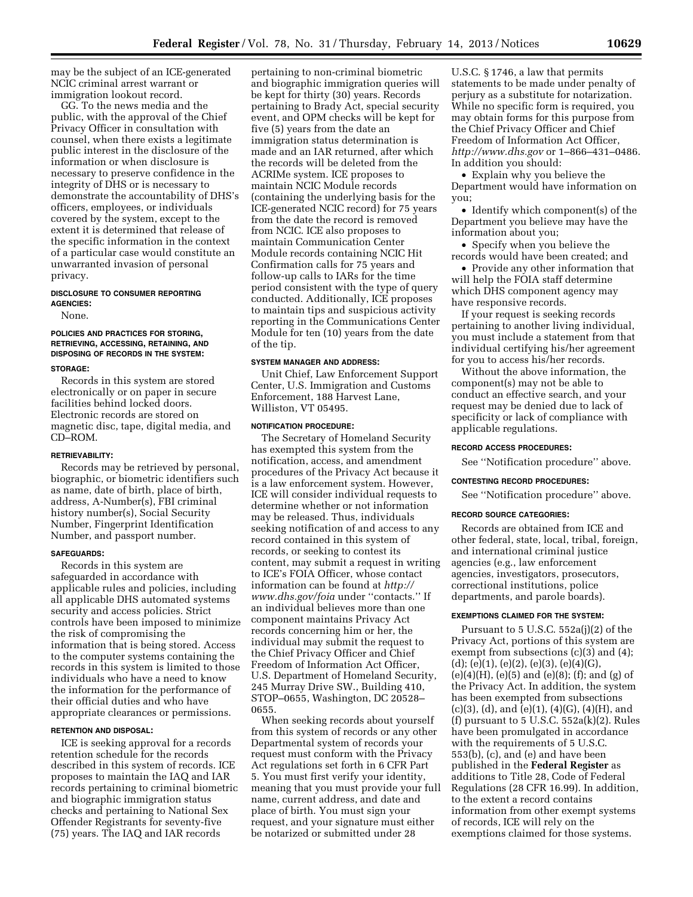may be the subject of an ICE-generated NCIC criminal arrest warrant or immigration lookout record.

GG. To the news media and the public, with the approval of the Chief Privacy Officer in consultation with counsel, when there exists a legitimate public interest in the disclosure of the information or when disclosure is necessary to preserve confidence in the integrity of DHS or is necessary to demonstrate the accountability of DHS's officers, employees, or individuals covered by the system, except to the extent it is determined that release of the specific information in the context of a particular case would constitute an unwarranted invasion of personal privacy.

## **DISCLOSURE TO CONSUMER REPORTING AGENCIES:**

None.

# **POLICIES AND PRACTICES FOR STORING, RETRIEVING, ACCESSING, RETAINING, AND DISPOSING OF RECORDS IN THE SYSTEM:**

## **STORAGE:**

Records in this system are stored electronically or on paper in secure facilities behind locked doors. Electronic records are stored on magnetic disc, tape, digital media, and CD–ROM.

#### **RETRIEVABILITY:**

Records may be retrieved by personal, biographic, or biometric identifiers such as name, date of birth, place of birth, address, A-Number(s), FBI criminal history number(s), Social Security Number, Fingerprint Identification Number, and passport number.

### **SAFEGUARDS:**

Records in this system are safeguarded in accordance with applicable rules and policies, including all applicable DHS automated systems security and access policies. Strict controls have been imposed to minimize the risk of compromising the information that is being stored. Access to the computer systems containing the records in this system is limited to those individuals who have a need to know the information for the performance of their official duties and who have appropriate clearances or permissions.

## **RETENTION AND DISPOSAL:**

ICE is seeking approval for a records retention schedule for the records described in this system of records. ICE proposes to maintain the IAQ and IAR records pertaining to criminal biometric and biographic immigration status checks and pertaining to National Sex Offender Registrants for seventy-five (75) years. The IAQ and IAR records

pertaining to non-criminal biometric and biographic immigration queries will be kept for thirty (30) years. Records pertaining to Brady Act, special security event, and OPM checks will be kept for five (5) years from the date an immigration status determination is made and an IAR returned, after which the records will be deleted from the ACRIMe system. ICE proposes to maintain NCIC Module records (containing the underlying basis for the ICE-generated NCIC record) for 75 years from the date the record is removed from NCIC. ICE also proposes to maintain Communication Center Module records containing NCIC Hit Confirmation calls for 75 years and follow-up calls to IARs for the time period consistent with the type of query conducted. Additionally, ICE proposes to maintain tips and suspicious activity reporting in the Communications Center Module for ten (10) years from the date of the tip.

### **SYSTEM MANAGER AND ADDRESS:**

Unit Chief, Law Enforcement Support Center, U.S. Immigration and Customs Enforcement, 188 Harvest Lane, Williston, VT 05495.

#### **NOTIFICATION PROCEDURE:**

The Secretary of Homeland Security has exempted this system from the notification, access, and amendment procedures of the Privacy Act because it is a law enforcement system. However, ICE will consider individual requests to determine whether or not information may be released. Thus, individuals seeking notification of and access to any record contained in this system of records, or seeking to contest its content, may submit a request in writing to ICE's FOIA Officer, whose contact information can be found at *[http://](http://www.dhs.gov/foia)  [www.dhs.gov/foia](http://www.dhs.gov/foia)* under ''contacts.'' If an individual believes more than one component maintains Privacy Act records concerning him or her, the individual may submit the request to the Chief Privacy Officer and Chief Freedom of Information Act Officer, U.S. Department of Homeland Security, 245 Murray Drive SW., Building 410, STOP–0655, Washington, DC 20528– 0655.

When seeking records about yourself from this system of records or any other Departmental system of records your request must conform with the Privacy Act regulations set forth in 6 CFR Part 5. You must first verify your identity, meaning that you must provide your full name, current address, and date and place of birth. You must sign your request, and your signature must either be notarized or submitted under 28

U.S.C. § 1746, a law that permits statements to be made under penalty of perjury as a substitute for notarization. While no specific form is required, you may obtain forms for this purpose from the Chief Privacy Officer and Chief Freedom of Information Act Officer, *<http://www.dhs.gov>* or 1–866–431–0486. In addition you should:

• Explain why you believe the Department would have information on you;

• Identify which component(s) of the Department you believe may have the information about you;

• Specify when you believe the records would have been created; and

• Provide any other information that will help the FOIA staff determine which DHS component agency may have responsive records.

If your request is seeking records pertaining to another living individual, you must include a statement from that individual certifying his/her agreement for you to access his/her records.

Without the above information, the component(s) may not be able to conduct an effective search, and your request may be denied due to lack of specificity or lack of compliance with applicable regulations.

### **RECORD ACCESS PROCEDURES:**

See ''Notification procedure'' above.

### **CONTESTING RECORD PROCEDURES:**

See ''Notification procedure'' above.

#### **RECORD SOURCE CATEGORIES:**

Records are obtained from ICE and other federal, state, local, tribal, foreign, and international criminal justice agencies (e.g., law enforcement agencies, investigators, prosecutors, correctional institutions, police departments, and parole boards).

### **EXEMPTIONS CLAIMED FOR THE SYSTEM:**

Pursuant to 5 U.S.C. 552a(j)(2) of the Privacy Act, portions of this system are exempt from subsections (c)(3) and (4);  $(d)$ ; (e)(1), (e)(2), (e)(3), (e)(4)(G),  $(e)(4)(H)$ ,  $(e)(5)$  and  $(e)(8)$ ;  $(f)$ ; and  $(g)$  of the Privacy Act. In addition, the system has been exempted from subsections  $(c)(3)$ ,  $(d)$ , and  $(e)(1)$ ,  $(4)(G)$ ,  $(4)(H)$ , and (f) pursuant to  $5$  U.S.C.  $552a(k)(2)$ . Rules have been promulgated in accordance with the requirements of 5 U.S.C. 553(b), (c), and (e) and have been published in the **Federal Register** as additions to Title 28, Code of Federal Regulations (28 CFR 16.99). In addition, to the extent a record contains information from other exempt systems of records, ICE will rely on the exemptions claimed for those systems.